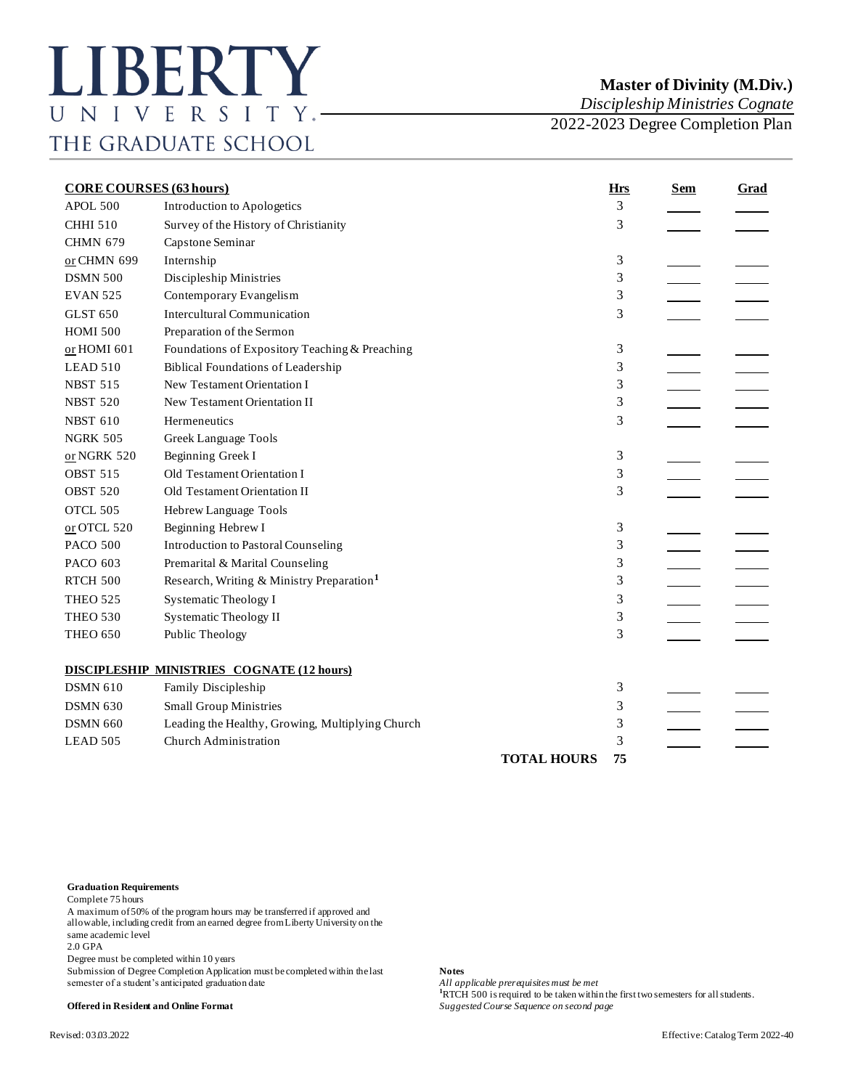## **Master of Divinity (M.Div.)**

*Discipleship Ministries Cognate*

2022-2023 Degree Completion Plan

| <b>CORE COURSES (63 hours)</b> |                                                       | <b>Hrs</b>         | <u>Sem</u> | Grad |  |
|--------------------------------|-------------------------------------------------------|--------------------|------------|------|--|
| <b>APOL 500</b>                | Introduction to Apologetics                           |                    | 3          |      |  |
| <b>CHHI 510</b>                | Survey of the History of Christianity                 |                    | 3          |      |  |
| <b>CHMN 679</b>                | Capstone Seminar                                      |                    |            |      |  |
| or CHMN 699                    | Internship                                            |                    | 3          |      |  |
| <b>DSMN 500</b>                | Discipleship Ministries                               |                    | 3          |      |  |
| <b>EVAN 525</b>                | Contemporary Evangelism                               |                    | 3          |      |  |
| <b>GLST 650</b>                | <b>Intercultural Communication</b>                    |                    | 3          |      |  |
| <b>HOMI 500</b>                | Preparation of the Sermon                             |                    |            |      |  |
| or HOMI 601                    | Foundations of Expository Teaching & Preaching        |                    | 3          |      |  |
| LEAD 510                       | <b>Biblical Foundations of Leadership</b>             |                    | 3          |      |  |
| <b>NBST 515</b>                | New Testament Orientation I                           |                    | 3          |      |  |
| <b>NBST 520</b>                | New Testament Orientation II                          |                    | 3          |      |  |
| <b>NBST 610</b>                | Hermeneutics                                          |                    | 3          |      |  |
| <b>NGRK 505</b>                | Greek Language Tools                                  |                    |            |      |  |
| or NGRK 520                    | Beginning Greek I                                     |                    | 3          |      |  |
| <b>OBST 515</b>                | Old Testament Orientation I                           |                    | 3          |      |  |
| <b>OBST 520</b>                | Old Testament Orientation II                          |                    | 3          |      |  |
| OTCL 505                       | Hebrew Language Tools                                 |                    |            |      |  |
| or OTCL 520                    | Beginning Hebrew I                                    |                    | 3          |      |  |
| <b>PACO 500</b>                | <b>Introduction to Pastoral Counseling</b>            |                    | 3          |      |  |
| <b>PACO 603</b>                | Premarital & Marital Counseling                       |                    | 3          |      |  |
| RTCH 500                       | Research, Writing & Ministry Preparation <sup>1</sup> |                    | 3          |      |  |
| <b>THEO 525</b>                | Systematic Theology I                                 |                    | 3          |      |  |
| <b>THEO 530</b>                | <b>Systematic Theology II</b>                         |                    | 3          |      |  |
| <b>THEO 650</b>                | Public Theology                                       |                    | 3          |      |  |
|                                | <b>DISCIPLESHIP MINISTRIES COGNATE (12 hours)</b>     |                    |            |      |  |
| <b>DSMN 610</b>                | Family Discipleship                                   |                    | 3          |      |  |
| <b>DSMN 630</b>                | <b>Small Group Ministries</b>                         |                    | 3          |      |  |
| <b>DSMN 660</b>                | Leading the Healthy, Growing, Multiplying Church      |                    | 3          |      |  |
| LEAD 505                       | <b>Church Administration</b>                          |                    | 3          |      |  |
|                                |                                                       | <b>TOTAL HOURS</b> | 75         |      |  |

## **Graduation Requirements**

Complete 75 hours

A maximum of 50% of the program hours may be transferred if approved and allowable, including credit from an earned degree from Liberty University on the same academic level

2.0 GPA

Degree must be completed within 10 years

Submission of Degree Completion Application must be completed within the last **Notes** semester of a student's anticipated graduation date

All applicable prerequisites must be met **hand in the first two semesters for all students. <sup>1</sup>RTCH 500** is required to be taken within the first two semesters for all students. **Offered in Resident and Online Format** *Suggested Course Sequence on second page*